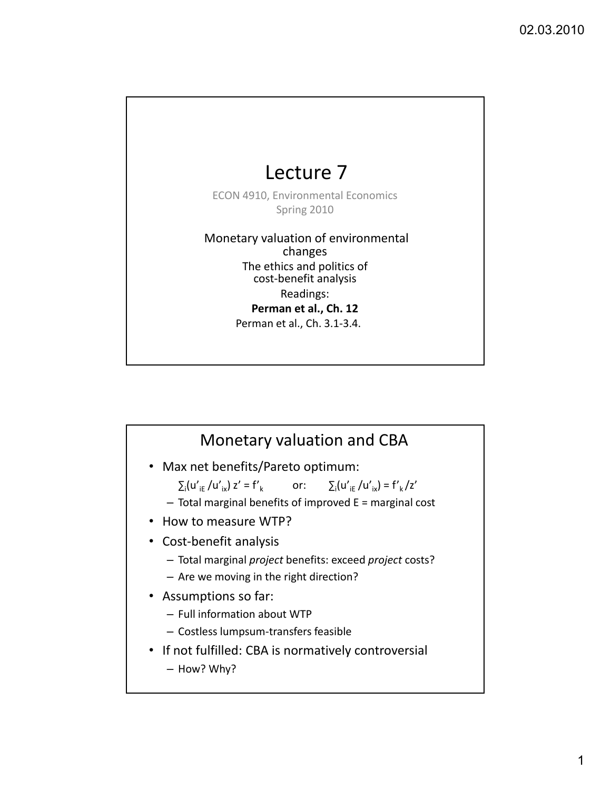## Lecture 7

ECON 4910, Environmental Economics Spring 2010

Monetary valuation of environmental changes The ethics and politics of cost-benefit analysis Readings: **Perman et al., Ch. 12** Perman et al., Ch. 3.1‐3.4.

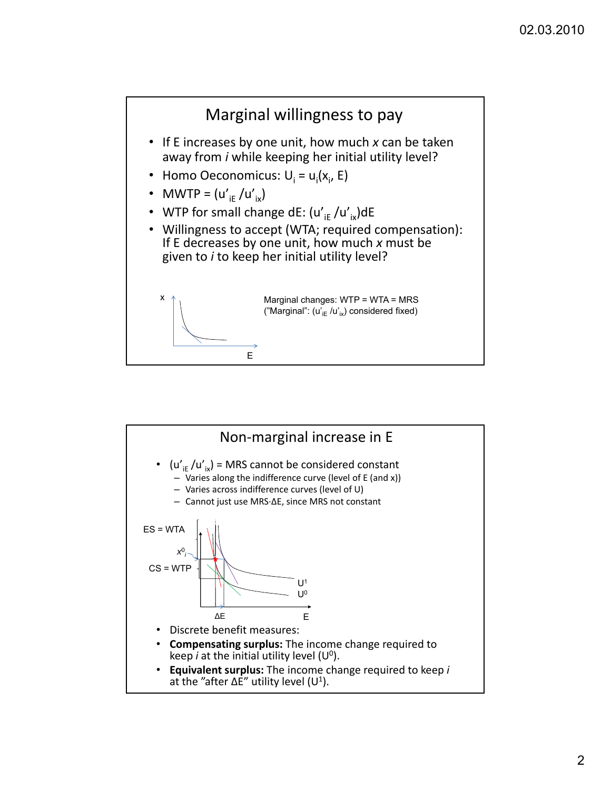

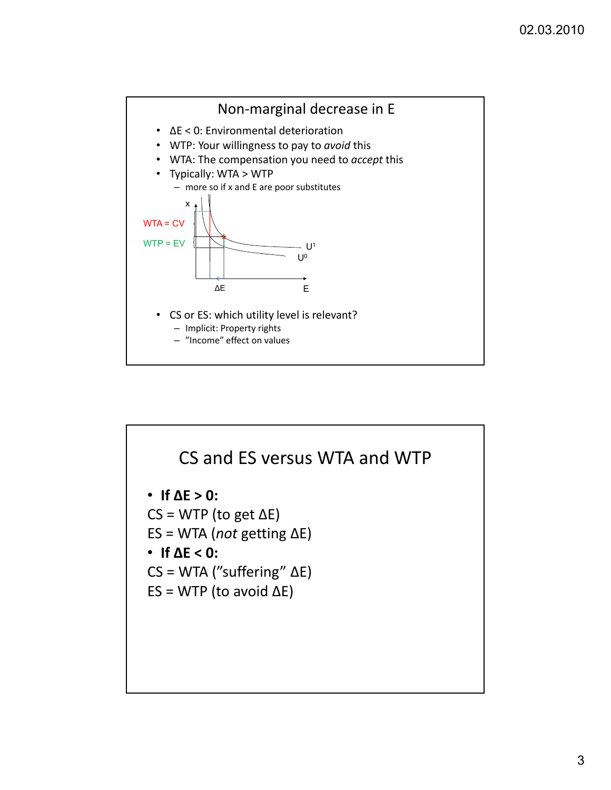

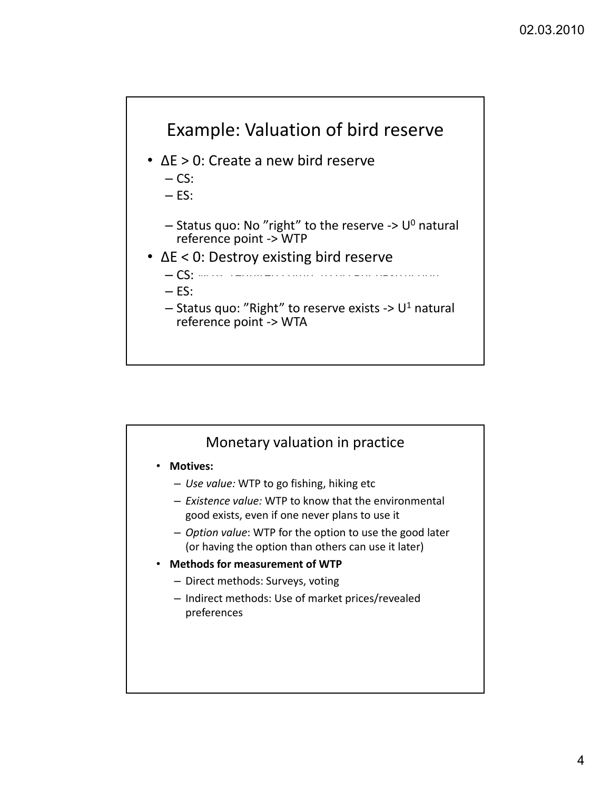

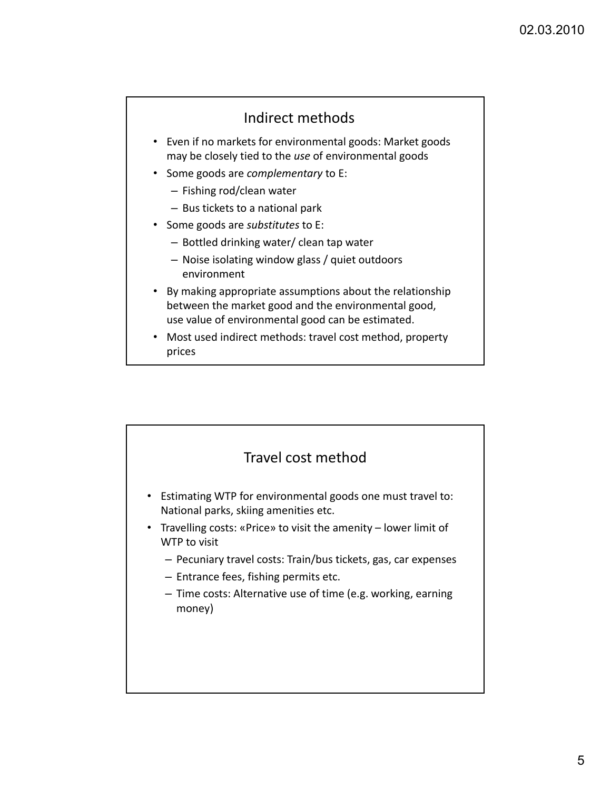## Indirect methods

- Even if no markets for environmental goods: Market goods may be closely tied to the *use* of environmental goods
- Some goods are *complementary* to E:
	- Fishing rod/clean water
	- Bus tickets to a national park
- Some goods are *substitutes* to E:
	- Bottled drinking water/ clean tap water
	- Noise isolating window glass / quiet outdoors environment
- By making appropriate assumptions about the relationship between the market good and the environmental good, use value of environmental good can be estimated.
- Most used indirect methods: travel cost method, property prices

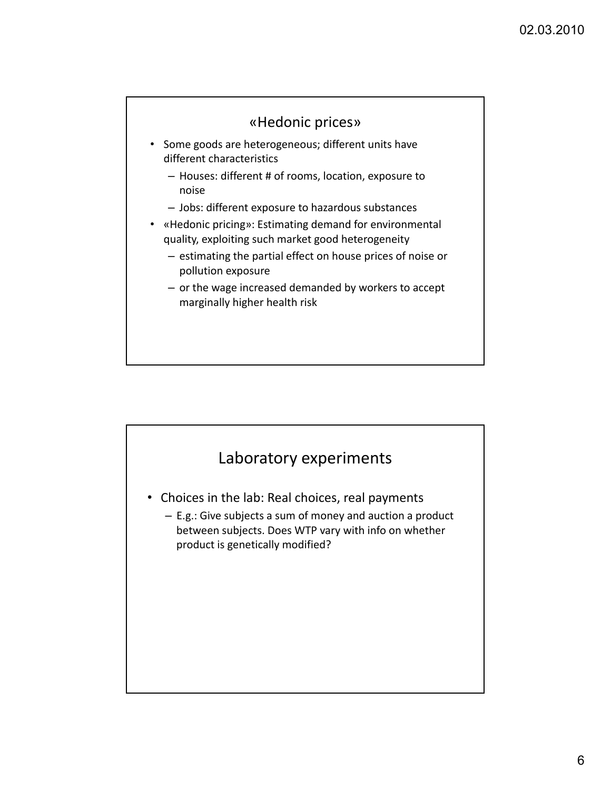

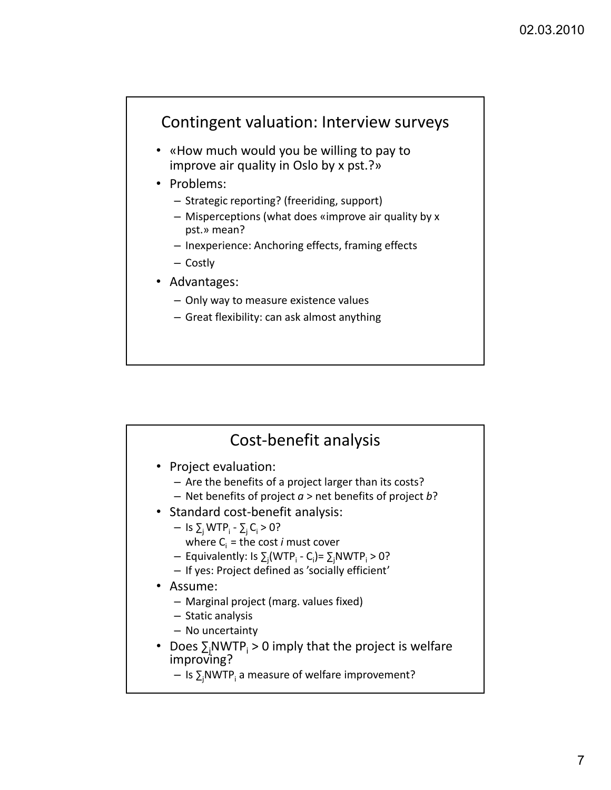## Contingent valuation: Interview surveys

- «How much would you be willing to pay to improve air quality in Oslo by x pst.?»
- Problems:
	- Strategic reporting? (freeriding, support)
	- Misperceptions (what does «improve air quality by x pst.» mean?
	- Inexperience: Anchoring effects, framing effects
	- Costly
- Advantages:
	- Only way to measure existence values
	- Great flexibility: can ask almost anything

| Cost-benefit analysis                                                                                                                                                                                                                                                                                                                                                                                                                                                                                                                                                                                              |  |
|--------------------------------------------------------------------------------------------------------------------------------------------------------------------------------------------------------------------------------------------------------------------------------------------------------------------------------------------------------------------------------------------------------------------------------------------------------------------------------------------------------------------------------------------------------------------------------------------------------------------|--|
| • Project evaluation:<br>- Are the benefits of a project larger than its costs?<br>- Net benefits of project $a >$ net benefits of project b?<br>• Standard cost-benefit analysis:<br>- Is $\Sigma_i$ WTP <sub>i</sub> - $\Sigma_i$ C <sub>i</sub> > 0?<br>where $C_i$ = the cost <i>i</i> must cover<br>- Equivalently: Is $\Sigma_i(WTP_i - C_i) = \Sigma_iNWTP_i > 0$ ?<br>- If yes: Project defined as 'socially efficient'<br>• Assume:<br>- Marginal project (marg. values fixed)<br>- Static analysis<br>- No uncertainty<br>• Does $\sum_{i} NWTP_{i} > 0$ imply that the project is welfare<br>improving? |  |
| - Is $\Sigma_i$ NWTP <sub>i</sub> a measure of welfare improvement?                                                                                                                                                                                                                                                                                                                                                                                                                                                                                                                                                |  |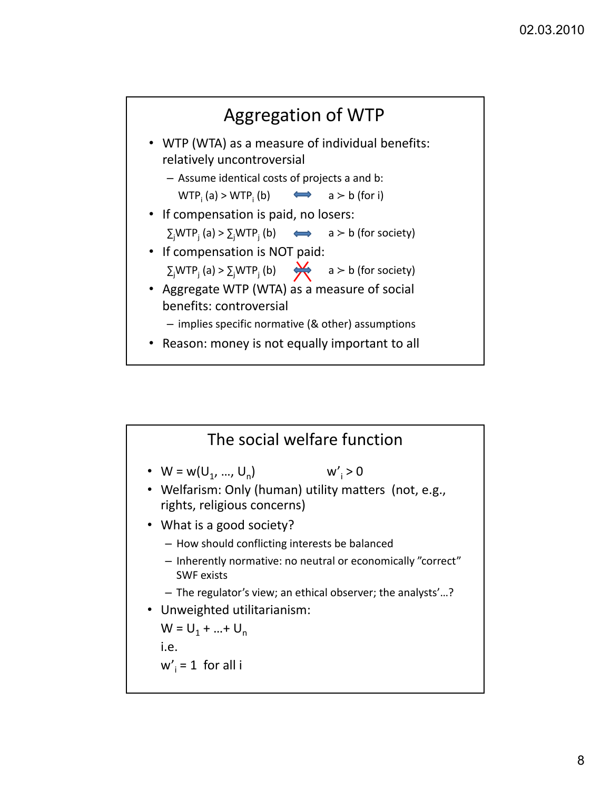

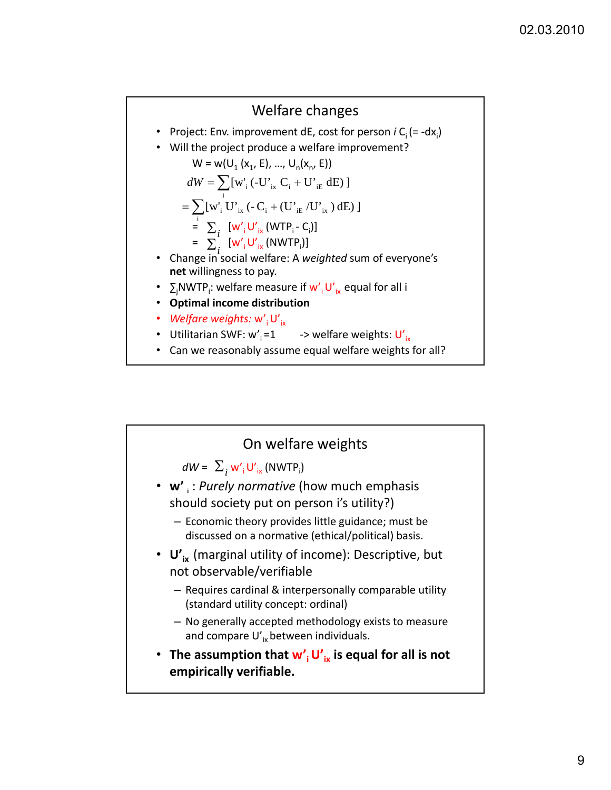## Welfare changes

- Project: Env. improvement dE, cost for person  $i C_i$  (= -dx<sub>i</sub>)
- Will the project produce a welfare improvement?

 $W = w(U_1 (x_1, E), ..., U_n (x_n, E))$  $dW = \sum_{i} [w'_{i} (-U'_{ix} C_{i} + U'_{iE} dE)]$  $[w'_{i} (-U'_{ix} C_{i} + U'_{i})]$  $=\sum [w'_i U'_{ix} (-C_i + (U'_{iE}/U'_{ix}) dB)]$ 

$$
= \sum_{i}^{i} [w'_{i} U'_{ix} (WTP_{i} - C_{i})]
$$

$$
= \sum_{i}^{l} [\mathbf{w'}_{i} \mathbf{U'}_{ix} (\text{NWTP}_{i})]
$$

- Change in social welfare: A *weighted* sum of everyone's net willingness to pay.
- $\sum_j$ NWTP<sub>i</sub>: welfare measure if  $w'_{\;i}$  U'<sub>ix</sub> equal for all i
- **Optimal income distribution**
- *Welfare weights:* w'<sub>i</sub>U'<sub>iv</sub>
- Utilitarian SWF:  $w'_i = 1$  -> welfare weights:  $U'_{iv}$
- Can we reasonably assume equal welfare weights for all?

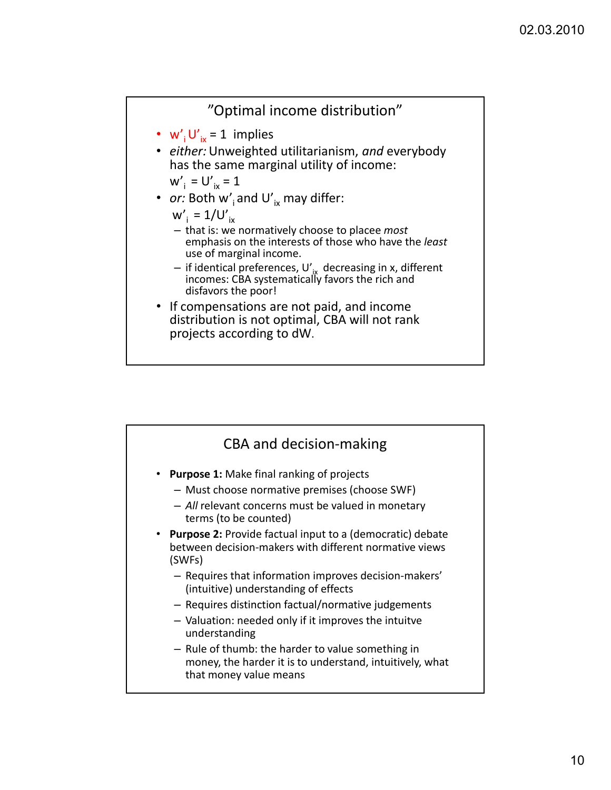

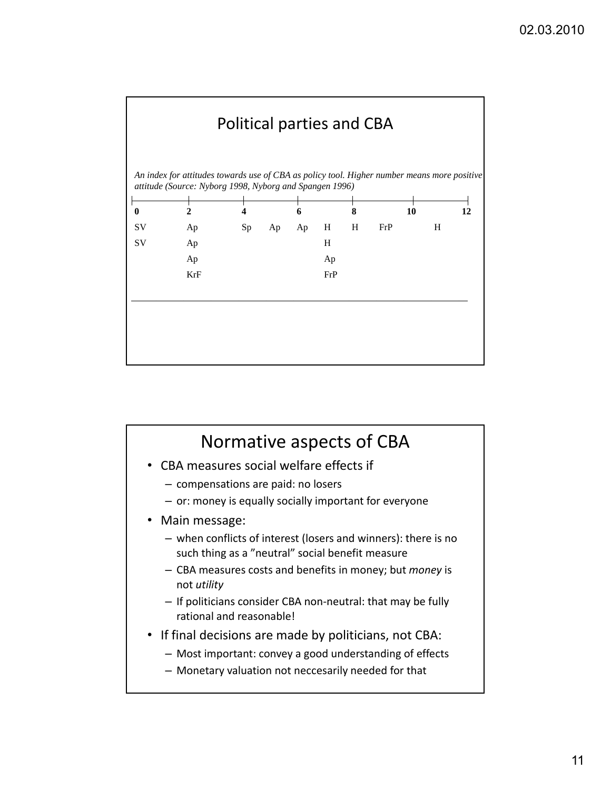